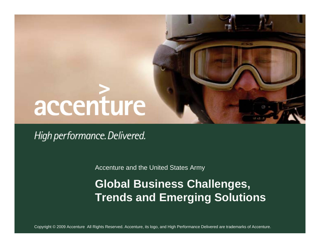# accenture

High performance. Delivered.

Accenture and the United States Army

## **Global Business Challenges, Trends and Emerging Solutions**

Copyright © 2009 Accenture All Rights Reserved. Accenture, its logo, and High Performance Delivered are trademarks of Accenture.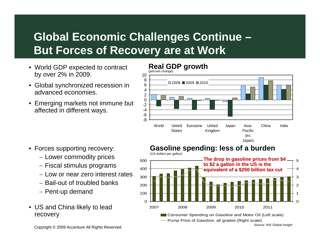# **Global Economic Challenges Continue – But Forces of Recovery are at Work**

- World GDP expected to contract by over 2% in 2009.
- Global synchronized recession in advanced economies.
- Emerging markets not immune but affected in different ways.



- Forces supporting recovery:
	- Lower commodity prices
	- Fiscal stimulus programs
	- Low or near zero interest rates
	- Bail-out of troubled banks
	- Pent-up demand
- US and China likely to lead recovery



Pump Price of Gasoline, all grades (Right scale)

Copyright © 2009 Accenture All Rights Reserved.

Source: IHS Global Insight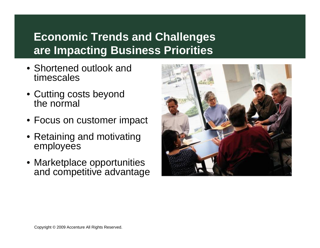# **Economic Trends and Challenges are Impacting Business Priorities**

- Shortened outlook and timescales
- Cutting costs beyond the normal
- Focus on customer impact
- Retaining and motivating employees
- Marketplace opportunities and competitive advantage

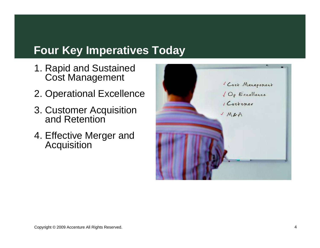### **Four Key Imperatives Today**

- 1. Rapid and Sustained Cost Management
- 2. Operational Excellence
- 3. Customer Acquisition and Retention
- 4. Effective Merger and **Acquisition**